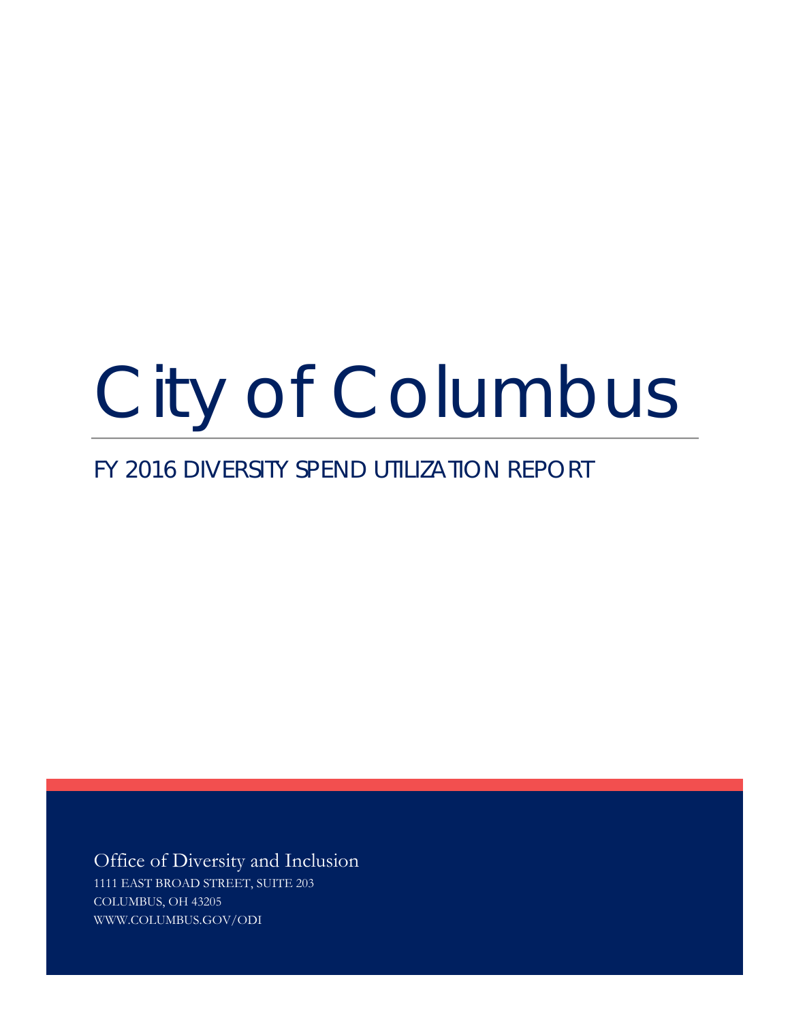# City of Columbus

# FY 2016 DIVERSITY SPEND UTILIZATION REPORT

Office of Diversity and Inclusion 1111 EAST BROAD STREET, SUITE 203 COLUMBUS, OH 43205 WWW.COLUMBUS.GOV/ODI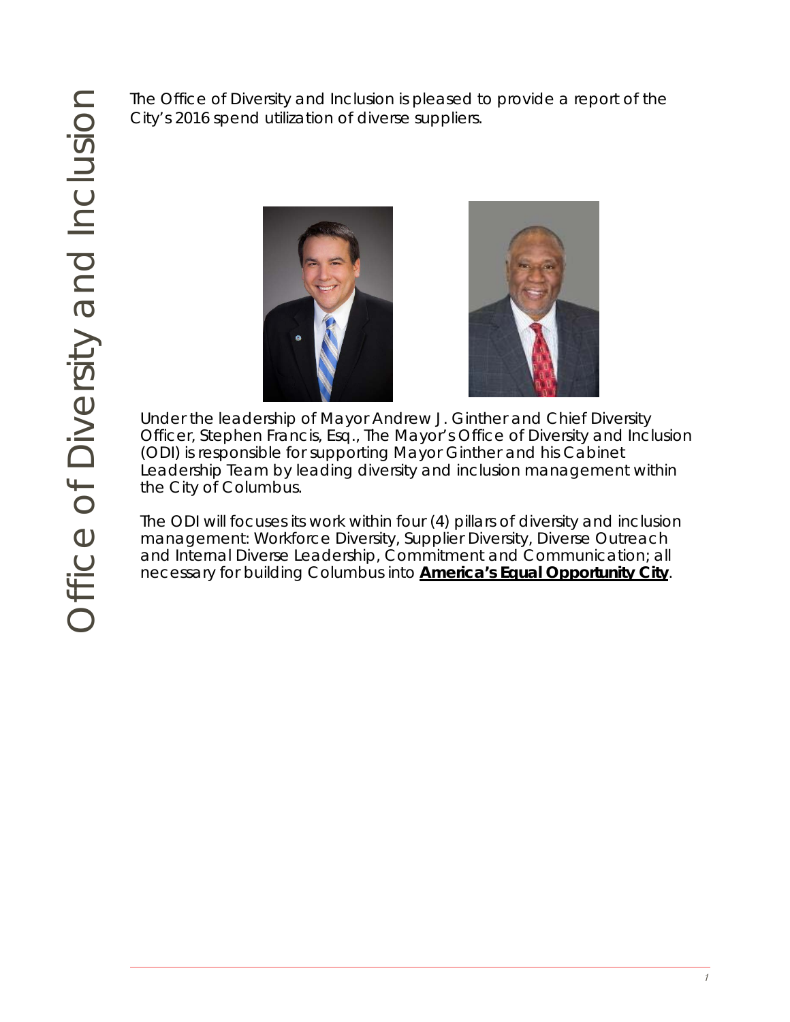City's 2016 spend utilization of diverse suppliers.





The Officer of Diversity and Inclusion is pleased to provide a report of the<br>
City's 2016 spend utilization of diverse suppliers.<br>
Officer, Stephen Francis, Esq., The Mayor's Officer and Chief Diversity<br>
Officer, Stephen F Under the leadership of Mayor Andrew J. Ginther and Chief Diversity Officer, Stephen Francis, Esq., The Mayor's Office of Diversity and Inclusion (ODI) is responsible for supporting Mayor Ginther and his Cabinet Leadership Team by leading diversity and inclusion management within the City of Columbus.

The ODI will focuses its work within four (4) pillars of diversity and inclusion management: Workforce Diversity, Supplier Diversity, Diverse Outreach and Internal Diverse Leadership, Commitment and Communication; all necessary for building Columbus into *America's Equal Opportunity City*.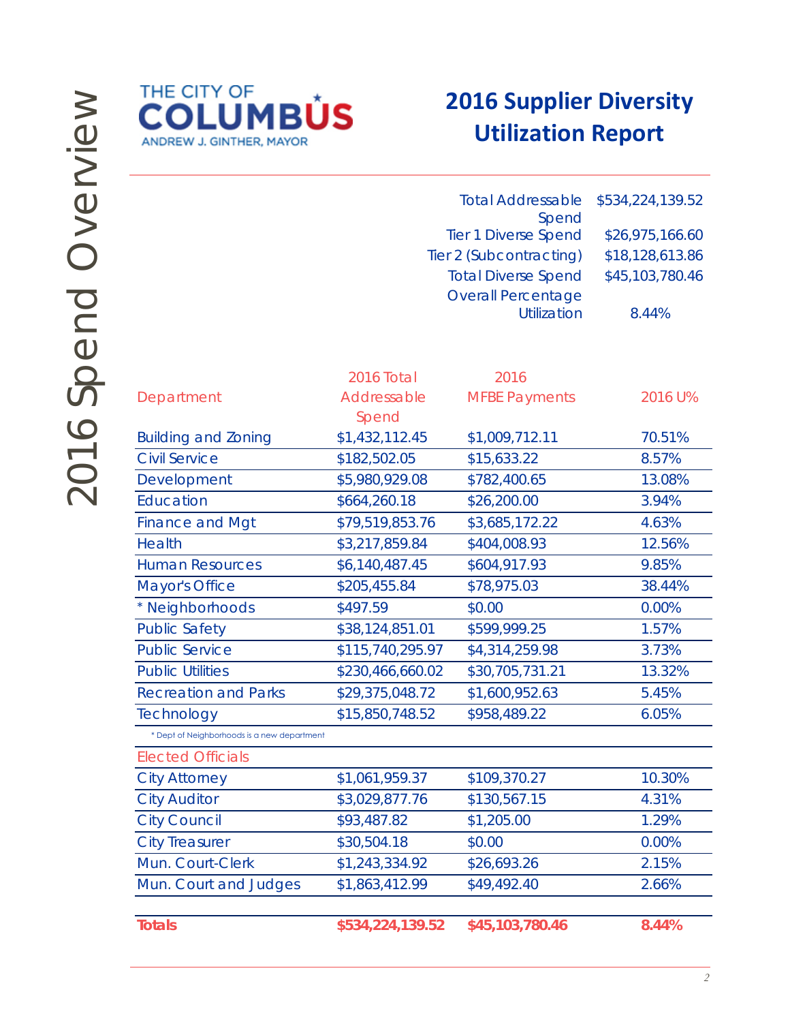

# **2016 Supplier Diversity Utilization Report**

| <b>Total Addressable</b><br>Spend           |                      |                                                 | \$534,224,139.52 |
|---------------------------------------------|----------------------|-------------------------------------------------|------------------|
| <b>Tier 1 Diverse Spend</b>                 |                      |                                                 | \$26,975,166.60  |
|                                             |                      | Tier 2 (Subcontracting)                         | \$18,128,613.86  |
|                                             |                      | <b>Total Diverse Spend</b>                      | \$45,103,780.46  |
|                                             |                      | <b>Overall Percentage</b><br><b>Utilization</b> | 8.44%            |
|                                             | 2016 Total           | 2016                                            |                  |
| Department                                  | Addressable<br>Spend | <b>MFBE Payments</b>                            | 2016 U%          |
| <b>Building and Zoning</b>                  | \$1,432,112.45       | \$1,009,712.11                                  | 70.51%           |
| <b>Civil Service</b>                        | \$182,502.05         | \$15,633.22                                     | 8.57%            |
| Development                                 | \$5,980,929.08       | \$782,400.65                                    | 13.08%           |
| Education                                   | \$664,260.18         | \$26,200.00                                     | 3.94%            |
| <b>Finance and Mgt</b>                      | \$79,519,853.76      | \$3,685,172.22                                  | 4.63%            |
| <b>Health</b>                               | \$3,217,859.84       | \$404,008.93                                    | 12.56%           |
| <b>Human Resources</b>                      | \$6,140,487.45       | \$604,917.93                                    | 9.85%            |
| Mayor's Office                              | \$205,455.84         | \$78,975.03                                     | 38.44%           |
| * Neighborhoods                             | \$497.59             | \$0.00                                          | 0.00%            |
| <b>Public Safety</b>                        | \$38,124,851.01      | \$599,999.25                                    | 1.57%            |
| <b>Public Service</b>                       | \$115,740,295.97     | \$4,314,259.98                                  | 3.73%            |
| <b>Public Utilities</b>                     | \$230,466,660.02     | \$30,705,731.21                                 | 13.32%           |
| <b>Recreation and Parks</b>                 | \$29,375,048.72      | \$1,600,952.63                                  | 5.45%            |
| Technology                                  | \$15,850,748.52      | \$958,489.22                                    | 6.05%            |
| * Dept of Neighborhoods is a new department |                      |                                                 |                  |
| <b>Elected Officials</b>                    |                      |                                                 |                  |

| <b>Elected Officials</b> |                |              |          |
|--------------------------|----------------|--------------|----------|
| <b>City Attorney</b>     | \$1,061,959.37 | \$109,370.27 | 10.30%   |
| <b>City Auditor</b>      | \$3,029,877.76 | \$130,567.15 | 4.31%    |
| <b>City Council</b>      | \$93,487.82    | \$1,205.00   | 1.29%    |
| <b>City Treasurer</b>    | \$30,504.18    | \$0.00       | $0.00\%$ |
| Mun. Court-Clerk         | \$1,243,334.92 | \$26,693.26  | 2.15%    |
| Mun. Court and Judges    | \$1,863,412.99 | \$49,492.40  | 2.66%    |
|                          |                |              |          |

**Totals \$534,224,139.52 \$45,103,780.46 8.44%**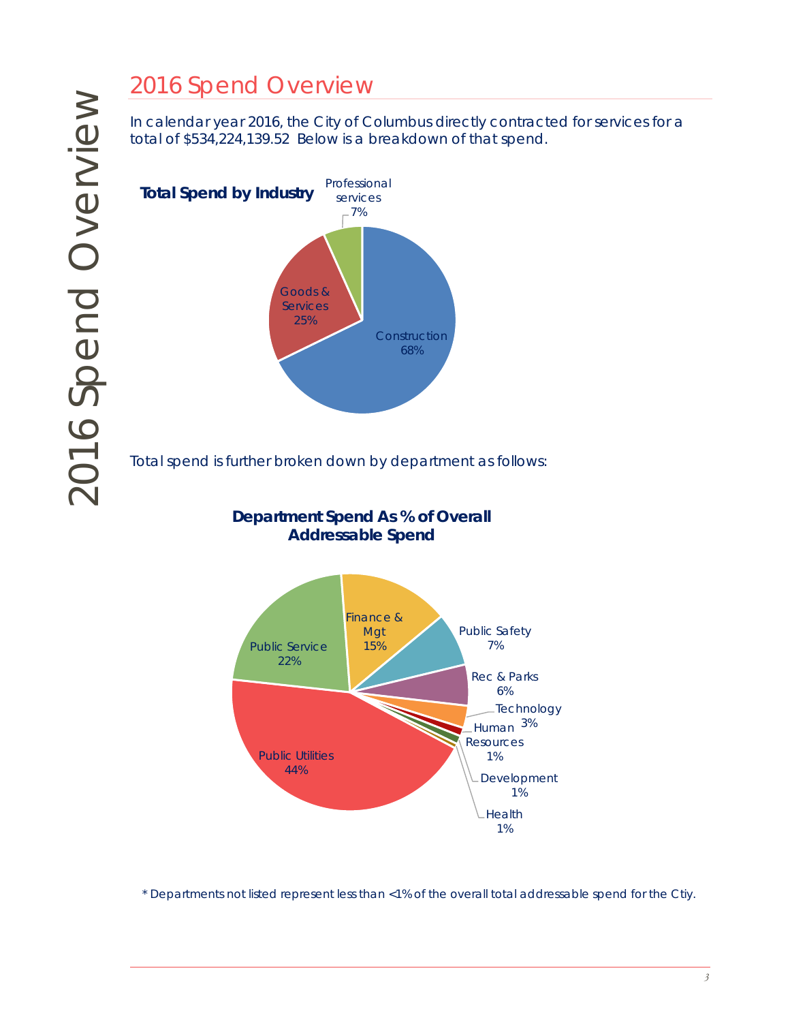# 2016 Spend Overview

In calendar year 2016, the City of Columbus directly contracted for services for a total of \$534,224,139.52 Below is a breakdown of that spend.



Total spend is further broken down by department as follows:

# **Department Spend As % of Overall Addressable Spend**



\* Departments not listed represent less than <1% of the overall total addressable spend for the Ctiy.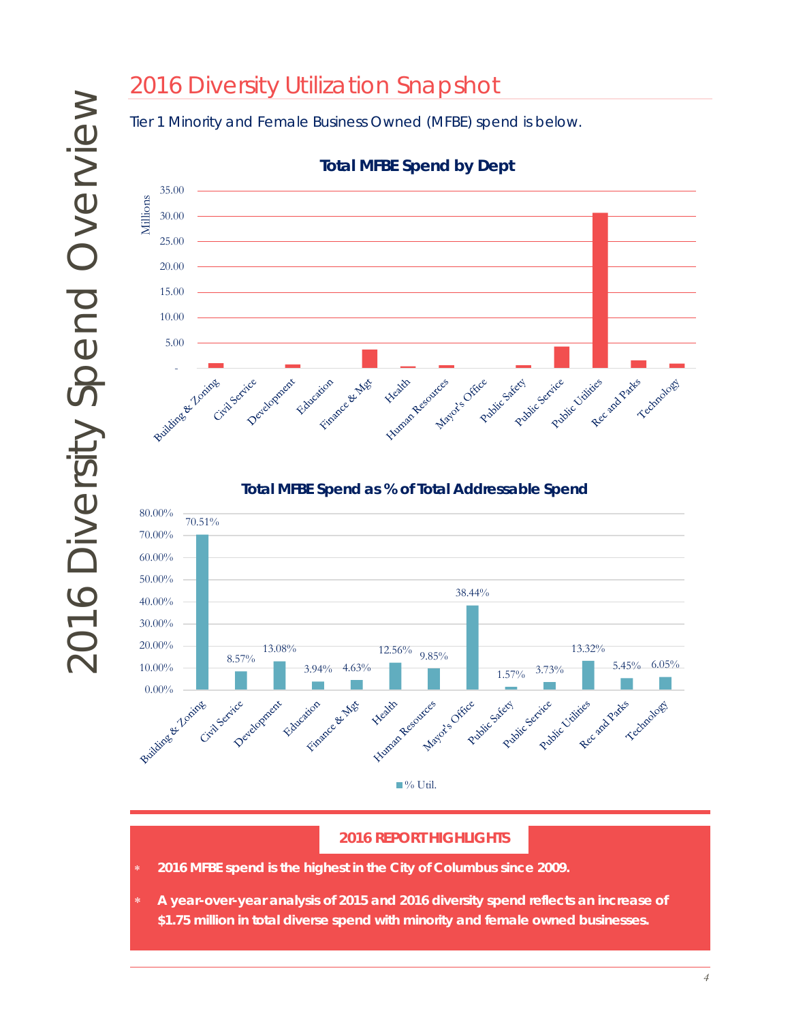# 2016 Diversity Utilization Snapshot

Tier 1 Minority and Female Business Owned (MFBE) spend is below.



**Total MFBE Spend by Dept**

### **Total MFBE Spend as % of Total Addressable Spend**



### **2016 REPORT HIGHLIGHTS**

- ∗ *2016 MFBE spend is the highest in the City of Columbus since 2009.*
- ∗ *A year-over-year analysis of 2015 and 2016 diversity spend reflects an increase of \$1.75 million in total diverse spend with minority and female owned businesses.*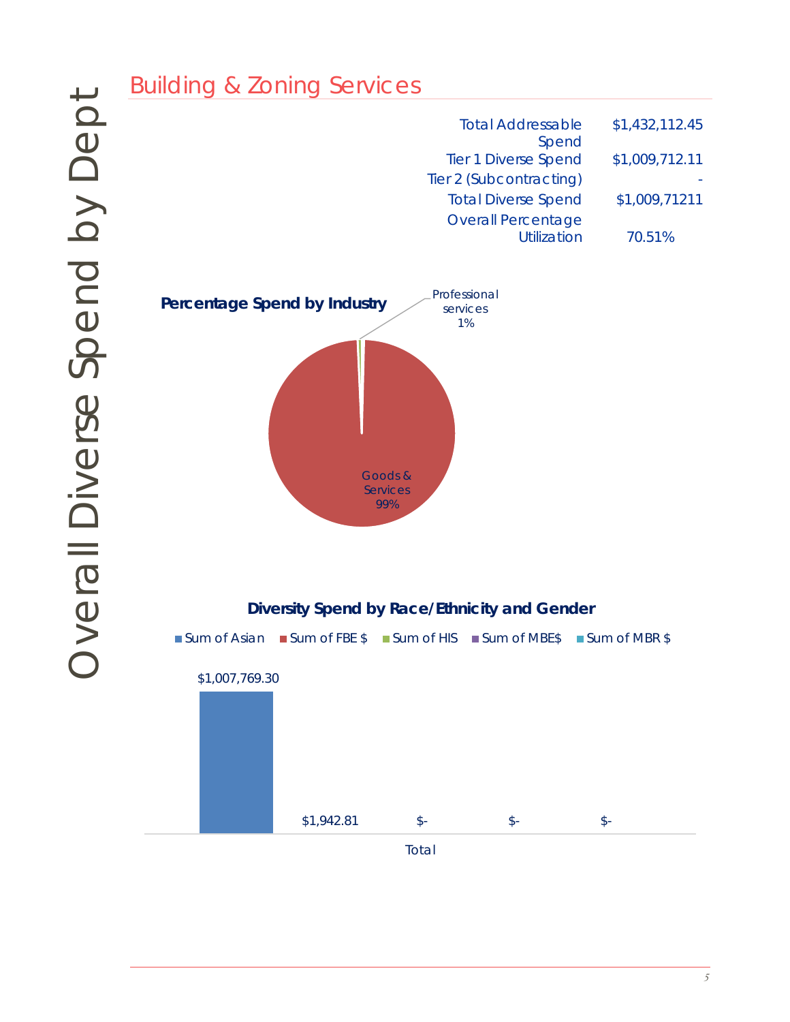| \$1,432,112.45 | <b>Total Addressable</b>    |
|----------------|-----------------------------|
|                | Spend                       |
| \$1,009,712.11 | <b>Tier 1 Diverse Spend</b> |
|                | Tier 2 (Subcontracting)     |
| \$1,009,71211  | <b>Total Diverse Spend</b>  |
|                | <b>Overall Percentage</b>   |
| 70.51%         | Utilization                 |
|                |                             |



### **Diversity Spend by Race/Ethnicity and Gender**

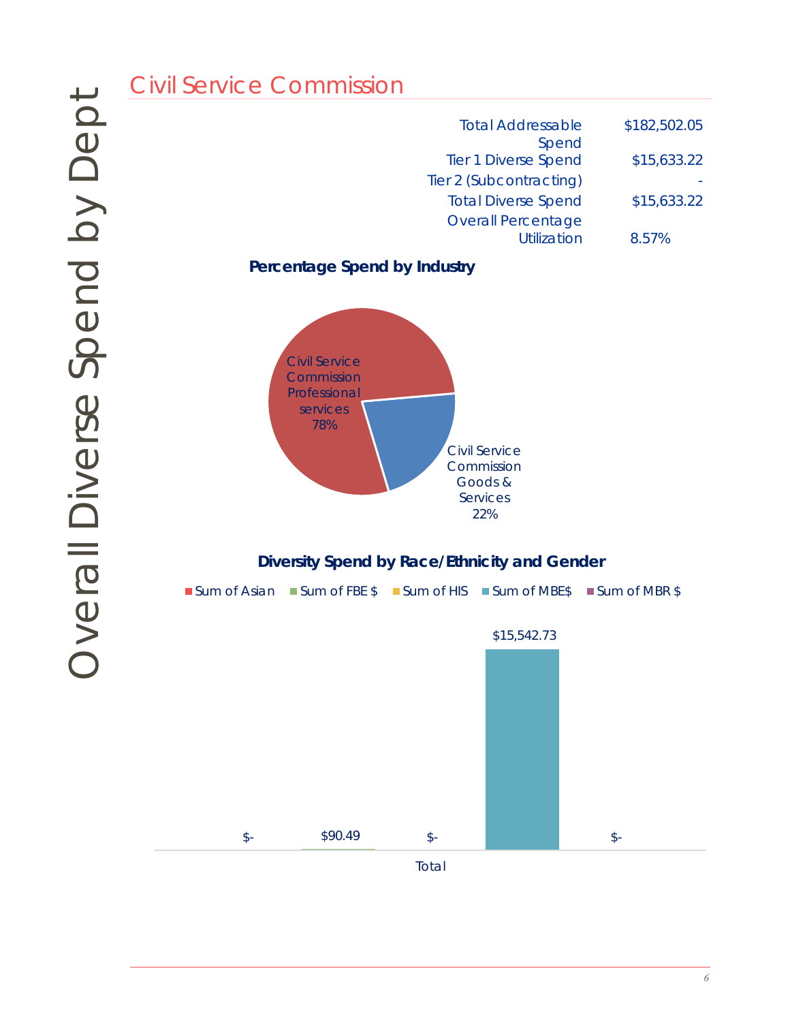| <b>Total Addressable</b>                 | \$182,502.05 |
|------------------------------------------|--------------|
| Spend<br><b>Tier 1 Diverse Spend</b>     | \$15,633.22  |
| Tier 2 (Subcontracting)                  |              |
| <b>Total Diverse Spend</b>               | \$15,633.22  |
| <b>Overall Percentage</b><br>Utilization | 8.57%        |

**Percentage Spend by Industry**



### **Diversity Spend by Race/Ethnicity and Gender**

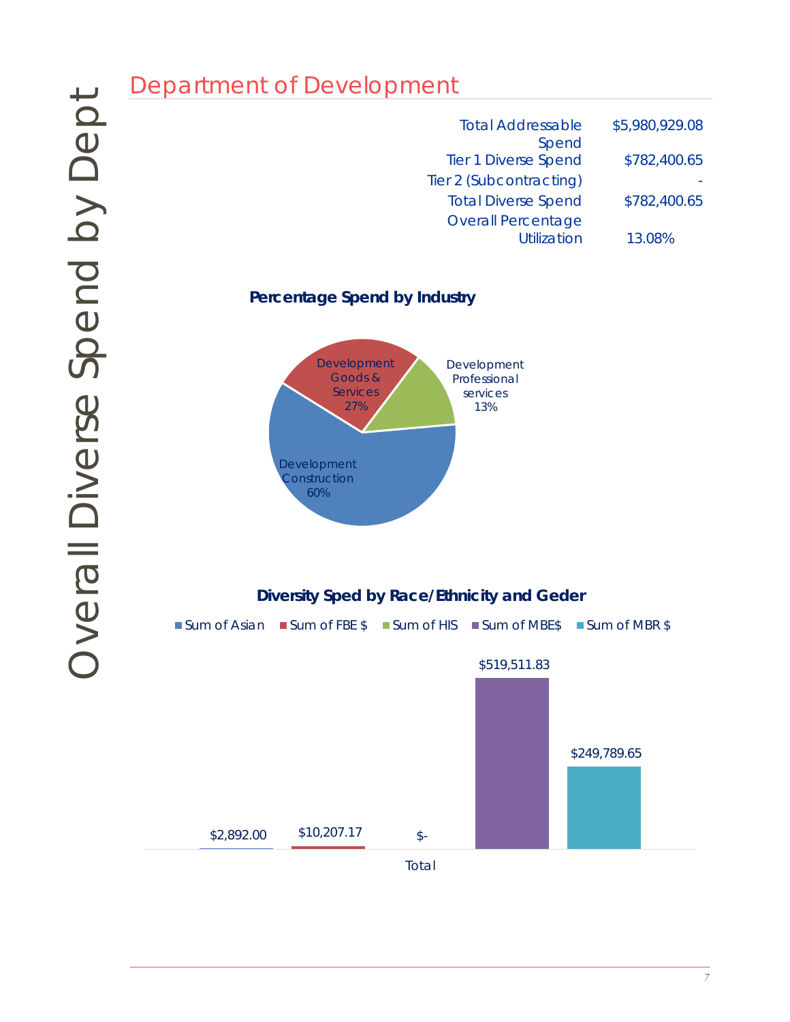| <b>Total Addressable</b>             | \$5,980,929.08 |
|--------------------------------------|----------------|
| Spend<br><b>Tier 1 Diverse Spend</b> | \$782,400.65   |
| Tier 2 (Subcontracting)              |                |
| <b>Total Diverse Spend</b>           | \$782,400.65   |
| <b>Overall Percentage</b>            |                |
| <b>Utilization</b>                   | 13.08%         |

### **Percentage Spend by Industry**



# **Diversity Sped by Race/Ethnicity and Geder**

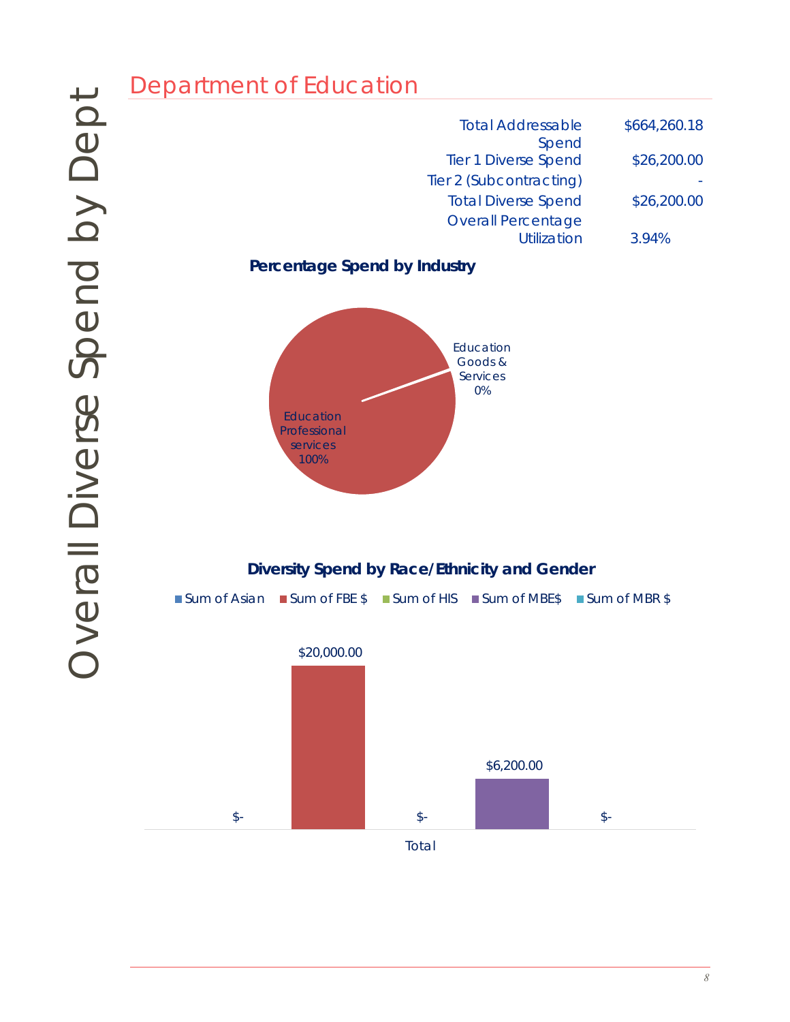| <b>Total Addressable</b>                 | \$664,260.18 |
|------------------------------------------|--------------|
| Spend<br><b>Tier 1 Diverse Spend</b>     | \$26,200.00  |
| Tier 2 (Subcontracting)                  |              |
| <b>Total Diverse Spend</b>               | \$26,200.00  |
| <b>Overall Percentage</b><br>Utilization | 3.94%        |

**Percentage Spend by Industry**



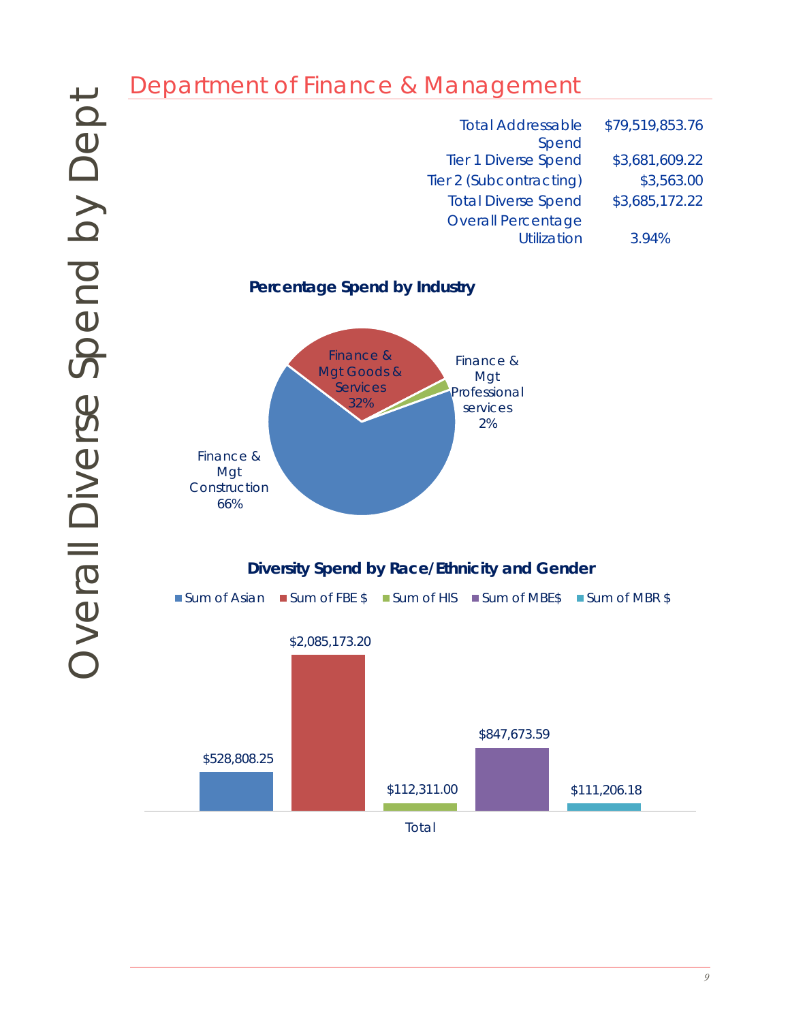| <b>Total Addressable</b><br>Spend | \$79,519,853.76 |
|-----------------------------------|-----------------|
| <b>Tier 1 Diverse Spend</b>       | \$3,681,609.22  |
| Tier 2 (Subcontracting)           | \$3,563.00      |
| <b>Total Diverse Spend</b>        | \$3,685,172.22  |
| <b>Overall Percentage</b>         |                 |
| <b>Utilization</b>                | 3.94%           |

**Percentage Spend by Industry**





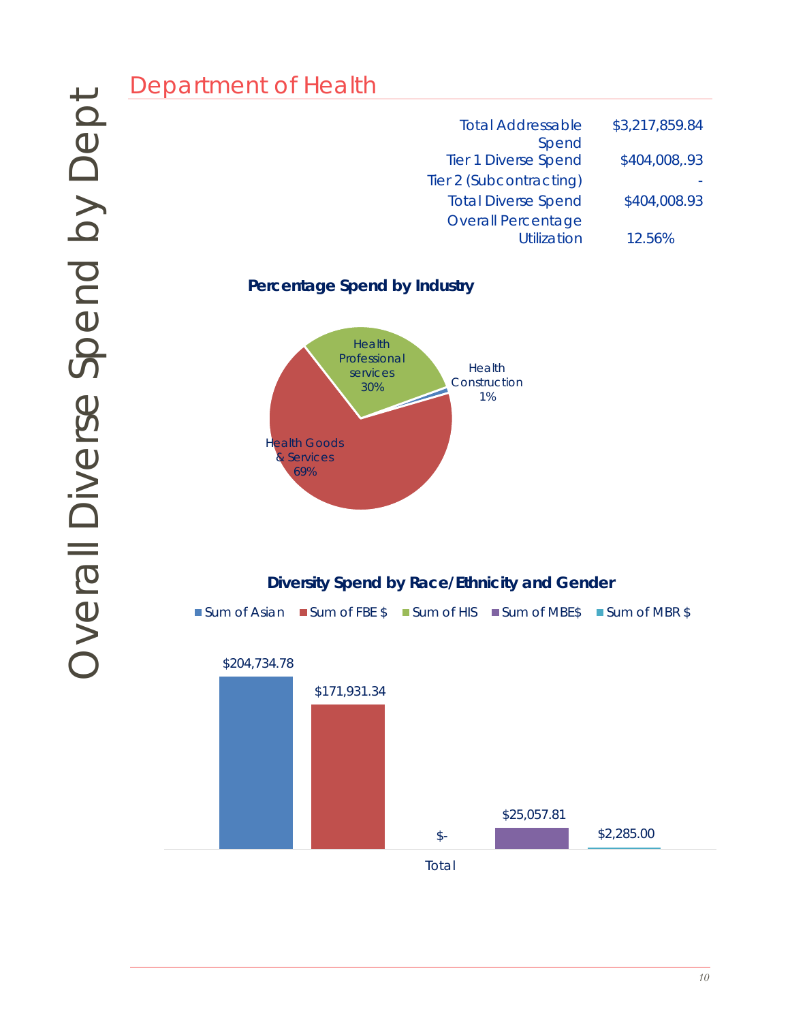| <b>Total Addressable</b>                        | \$3,217,859.84 |
|-------------------------------------------------|----------------|
| Spend<br><b>Tier 1 Diverse Spend</b>            | \$404,008,.93  |
| Tier 2 (Subcontracting)                         |                |
| <b>Total Diverse Spend</b>                      | \$404,008.93   |
| <b>Overall Percentage</b><br><b>Utilization</b> | 12.56%         |

## **Percentage Spend by Industry**



# **Diversity Spend by Race/Ethnicity and Gender**

■Sum of Asian ■Sum of FBE \$ ■Sum of HIS ■Sum of MBE\$ ■Sum of MBR \$

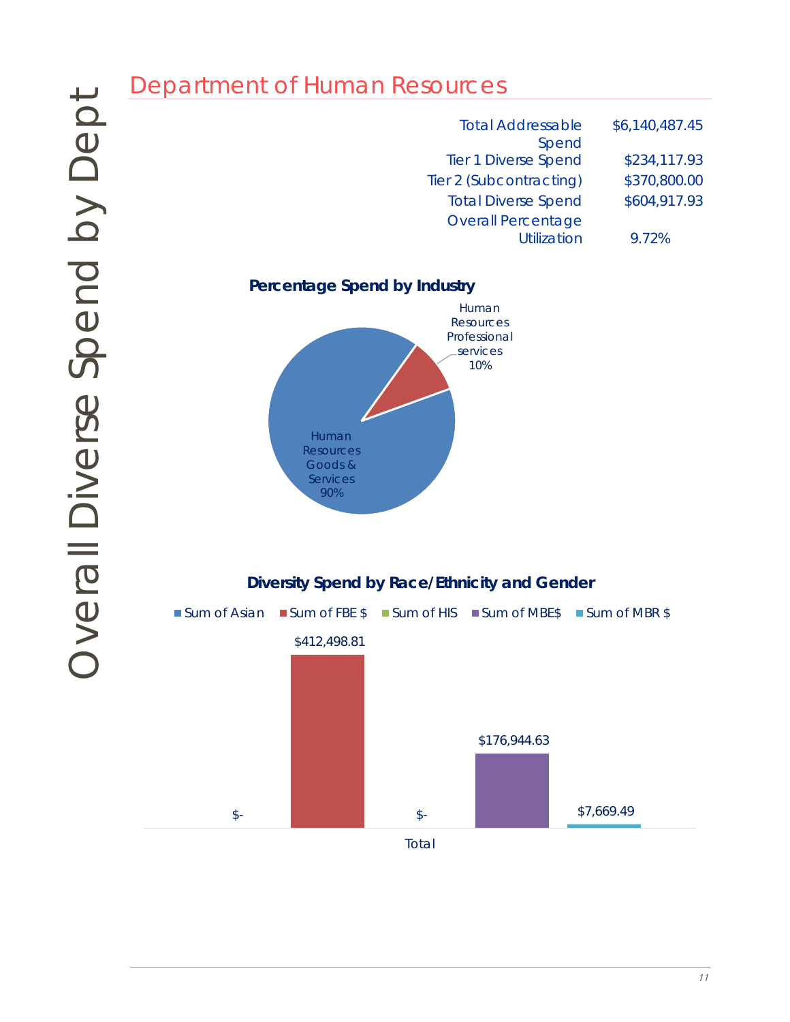| <b>Total Addressable</b><br>Spend | \$6,140,487.45 |
|-----------------------------------|----------------|
| <b>Tier 1 Diverse Spend</b>       | \$234,117.93   |
| Tier 2 (Subcontracting)           | \$370,800.00   |
| <b>Total Diverse Spend</b>        | \$604,917.93   |
| <b>Overall Percentage</b>         |                |
| <b>Utilization</b>                | 9.72%          |





Total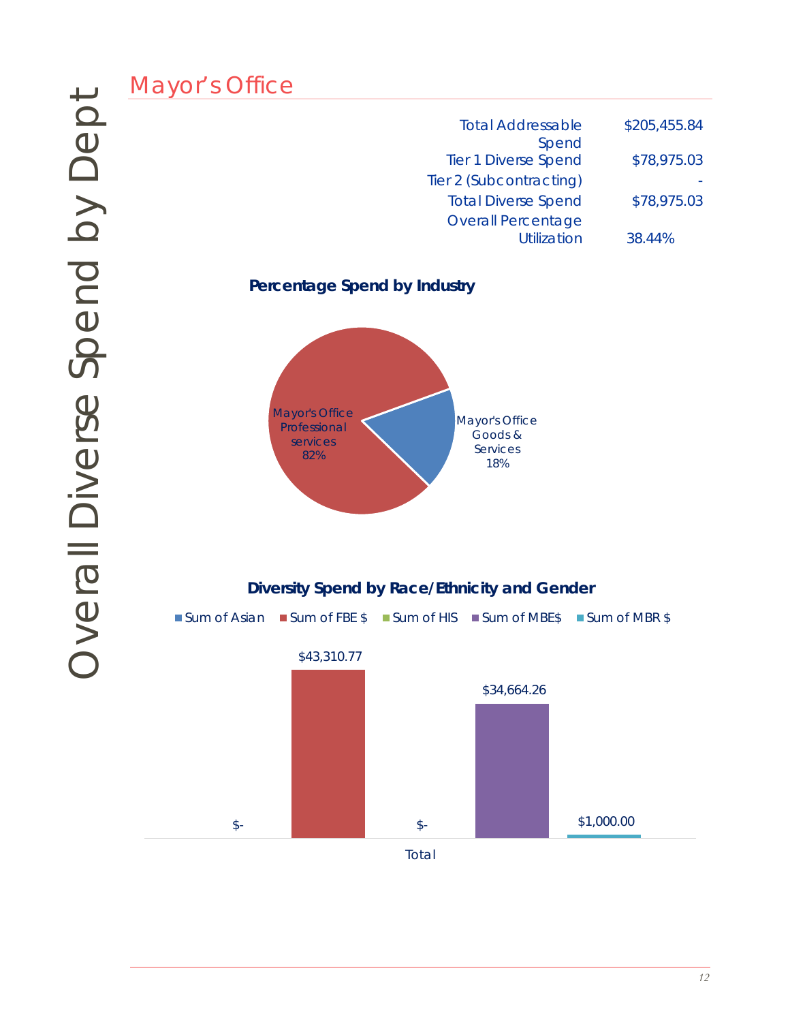| <b>Total Addressable</b>             | \$205,455.84 |
|--------------------------------------|--------------|
| Spend<br><b>Tier 1 Diverse Spend</b> | \$78,975.03  |
| Tier 2 (Subcontracting)              |              |
| <b>Total Diverse Spend</b>           | \$78,975.03  |
| <b>Overall Percentage</b>            |              |
| <b>Utilization</b>                   | 38.44%       |

**Percentage Spend by Industry**



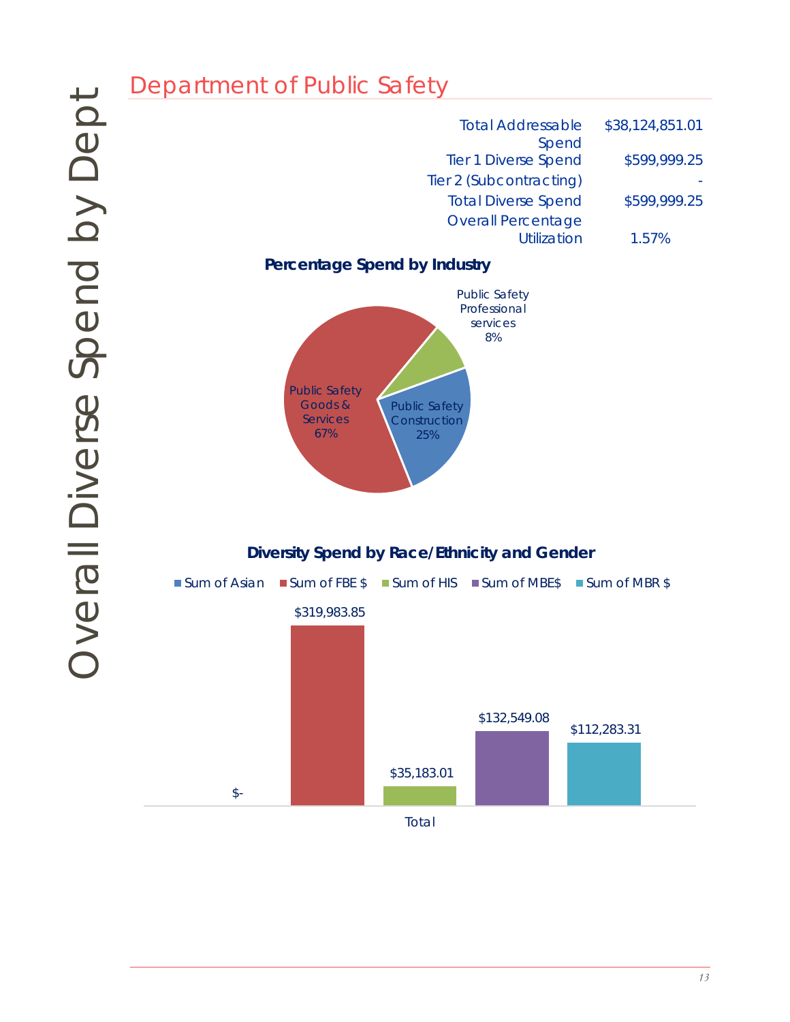| <b>Total Addressable</b>                        | \$38,124,851.01 |
|-------------------------------------------------|-----------------|
| Spend<br><b>Tier 1 Diverse Spend</b>            | \$599,999.25    |
| Tier 2 (Subcontracting)                         |                 |
| <b>Total Diverse Spend</b>                      | \$599,999.25    |
| <b>Overall Percentage</b><br><b>Utilization</b> | 1.57%           |

# **Percentage Spend by Industry**



**Diversity Spend by Race/Ethnicity and Gender**

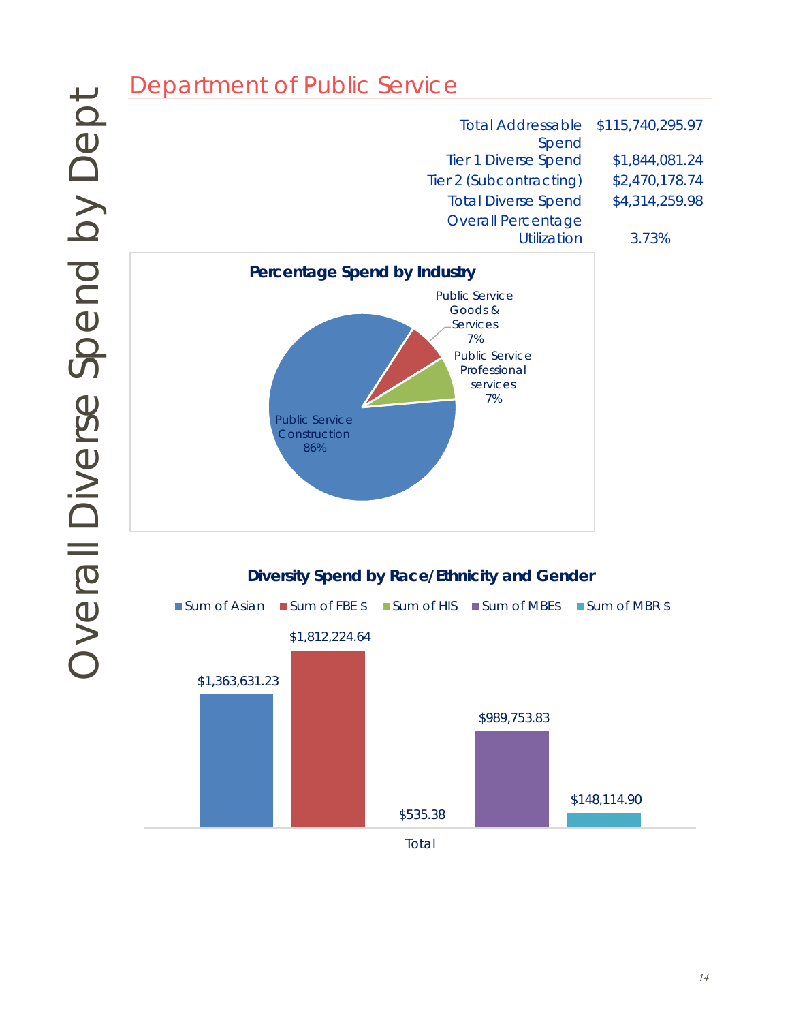# Department of Public Service<br>
The Territor The Territor<br>
Overcentage Spend by Industry<br>
Overcentage Spend by Industry<br>
Overcentage Spend by Nace/Eth<br>
Sum of Asian<br>
Sum of RBE Stram of HIS<br>
Sum of Asian<br>
Sum of RBE Stram of **Diversity Spend by Race/Ethnicity and Gender** Total Addressable \$115,740,295.97 Spend Tier 1 Diverse Spend \$1,844,081.24 Tier 2 (Subcontracting) \$2,470,178.74 Total Diverse Spend \$4,314,259.98 Overall Percentage Utilization 3.73% Public Service **Construction** 86% Public Service Goods & Services 7% Public Service Professional services 7% **Percentage Spend by Industry**



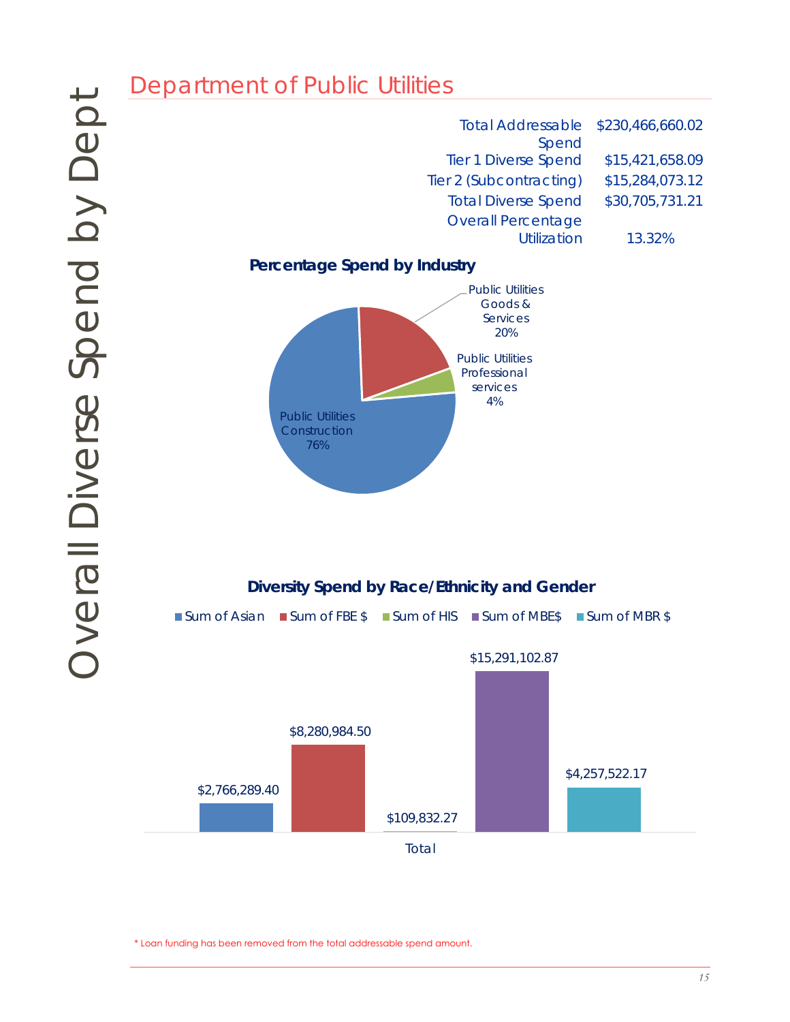

\* Loan funding has been removed from the total addressable spend amount.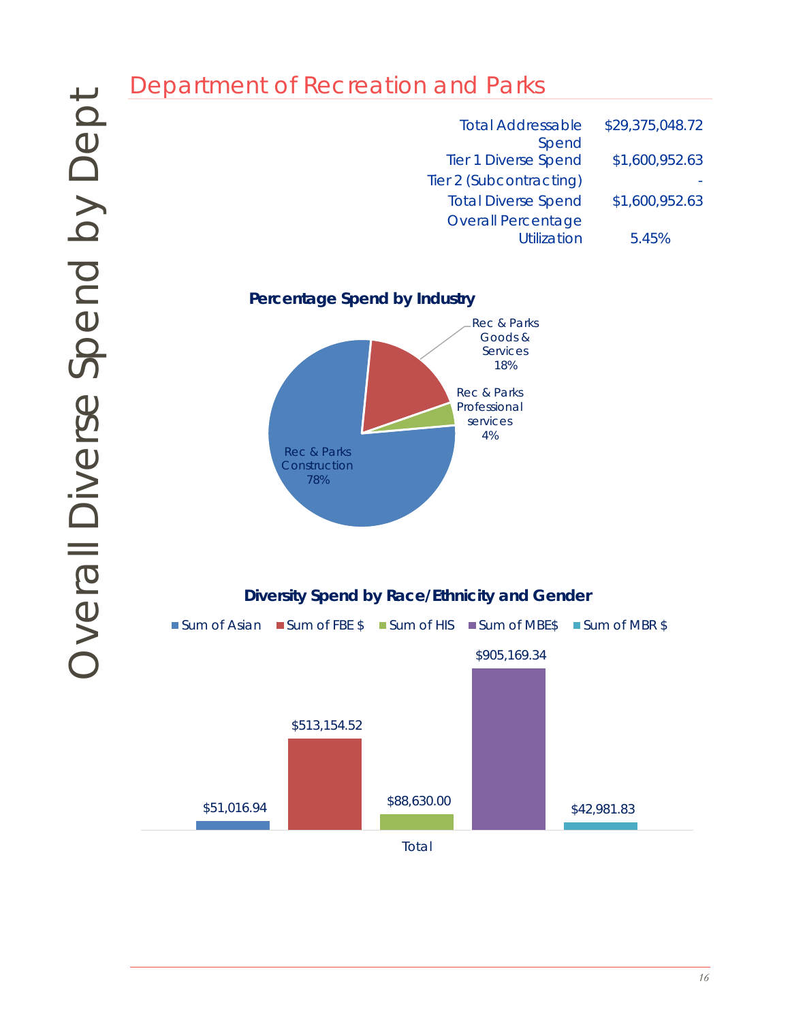| <b>Total Addressable</b>             | \$29,375,048.72 |
|--------------------------------------|-----------------|
| Spend<br><b>Tier 1 Diverse Spend</b> | \$1,600,952.63  |
| Tier 2 (Subcontracting)              |                 |
| <b>Total Diverse Spend</b>           | \$1,600,952.63  |
| <b>Overall Percentage</b>            |                 |
| <b>Utilization</b>                   | 5.45%           |